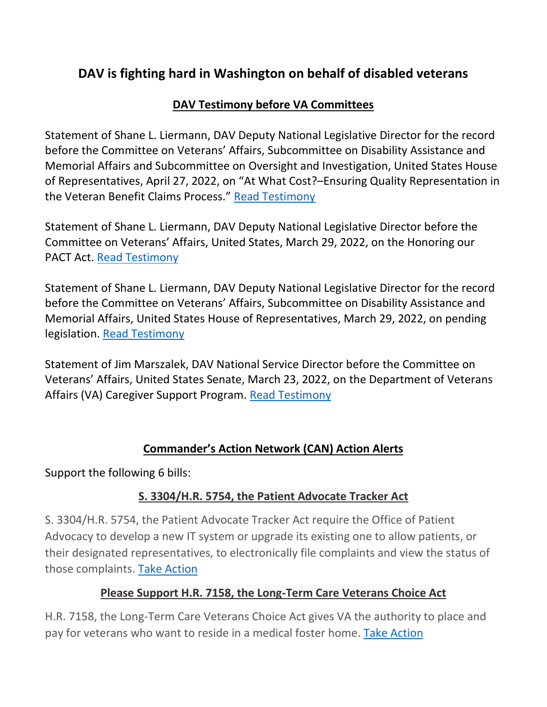# **DAV is fighting hard in Washington on behalf of disabled veterans**

# **DAV Testimony before VA Committees**

Statement of Shane L. Liermann, DAV Deputy National Legislative Director for the record before the Committee on Veterans' Affairs, Subcommittee on Disability Assistance and Memorial Affairs and Subcommittee on Oversight and Investigation, United States House of Representatives, April 27, 2022, on "At What Cost?–Ensuring Quality Representation in the Veteran Benefit Claims Process." [Read Testimony](https://www.dav.org/wp-content/uploads/Liermann20220427.pdf)

Statement of Shane L. Liermann, DAV Deputy National Legislative Director before the Committee on Veterans' Affairs, United States, March 29, 2022, on the Honoring our PACT Act. [Read Testimony](https://www.dav.org/wp-content/uploads/Liermann20220329_SVAC-PACT-Act.pdf)

Statement of Shane L. Liermann, DAV Deputy National Legislative Director for the record before the Committee on Veterans' Affairs, Subcommittee on Disability Assistance and Memorial Affairs, United States House of Representatives, March 29, 2022, on pending legislation. [Read Testimony](https://www.dav.org/wp-content/uploads/Liermann20220329_HVAC-DAMA-FTR.pdf)

Statement of Jim Marszalek, DAV National Service Director before the Committee on Veterans' Affairs, United States Senate, March 23, 2022, on the Department of Veterans Affairs (VA) Caregiver Support Program. [Read Testimony](https://www.dav.org/wp-content/uploads/Marszalek20220323.pdf)

#### **Commander's Action Network (CAN) Action Alerts**

Support the following 6 bills:

# **S. 3304/H.R. 5754, the Patient Advocate Tracker Act**

S. 3304/H.R. 5754, the Patient Advocate Tracker Act require the Office of Patient Advocacy to develop a new IT system or upgrade its existing one to allow patients, or their designated representatives, to electronically file complaints and view the status of those complaints. [Take Action](https://dav.quorum.us/campaign/40131/)

#### **Please Support H.R. 7158, the Long-Term Care Veterans Choice Act**

H.R. 7158, the Long-Term Care Veterans Choice Act gives VA the authority to place and pay for veterans who want to reside in a medical foster home. [Take Action](https://dav.quorum.us/campaign/40059/)